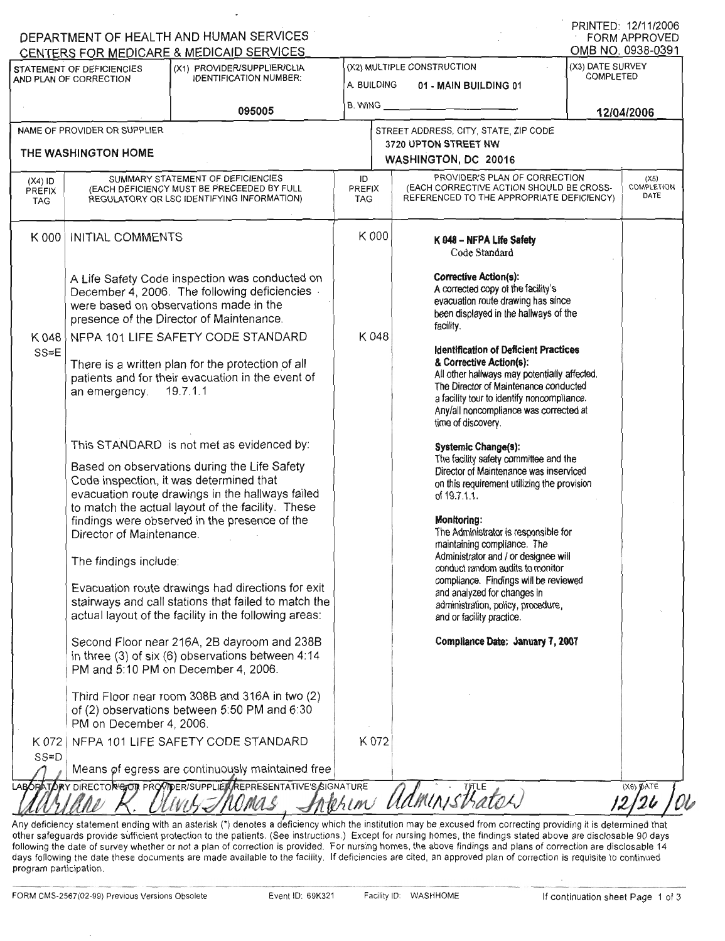| (X1) PROVIDER/SUPPLIER/CLIA<br>STATEMENT OF DEFICIENCIES<br><b>IDENTIFICATION NUMBER:</b><br>AND PLAN OF CORRECTION<br>095005 |                                                                                                                                                                           |                                                                                                                                                                                                                                                                                                |                                   | (X2) MULTIPLE CONSTRUCTION<br>A. BUILDING<br>01 - MAIN BUILDING 01                                                                                                                                                                                                                         |  | (X3) DATE SURVEY<br>COMPLETED |  |
|-------------------------------------------------------------------------------------------------------------------------------|---------------------------------------------------------------------------------------------------------------------------------------------------------------------------|------------------------------------------------------------------------------------------------------------------------------------------------------------------------------------------------------------------------------------------------------------------------------------------------|-----------------------------------|--------------------------------------------------------------------------------------------------------------------------------------------------------------------------------------------------------------------------------------------------------------------------------------------|--|-------------------------------|--|
|                                                                                                                               |                                                                                                                                                                           |                                                                                                                                                                                                                                                                                                |                                   | 12/04/2006                                                                                                                                                                                                                                                                                 |  |                               |  |
|                                                                                                                               | NAME OF PROVIDER OR SUPPLIER<br>THE WASHINGTON HOME                                                                                                                       |                                                                                                                                                                                                                                                                                                |                                   | STREET ADDRESS, CITY, STATE, ZIP CODE<br>3720 UPTON STREET NW<br>WASHINGTON, DC 20016                                                                                                                                                                                                      |  |                               |  |
| $(X4)$ ID<br><b>PREFIX</b><br><b>TAG</b>                                                                                      |                                                                                                                                                                           | SUMMARY STATEMENT OF DEFICIENCIES<br>(EACH DEFICIENCY MUST BE PRECEEDED BY FULL<br>REGULATORY OR LSC IDENTIFYING INFORMATION)                                                                                                                                                                  | ID<br><b>PREFIX</b><br><b>TAG</b> | PROVIDER'S PLAN OF CORRECTION<br>(EACH CORRECTIVE ACTION SHOULD BE CROSS-<br>REFERENCED TO THE APPROPRIATE DEFICIENCY)                                                                                                                                                                     |  | (X5)<br>COMPLETION<br>DATE    |  |
| K 000                                                                                                                         | <b>INITIAL COMMENTS</b>                                                                                                                                                   |                                                                                                                                                                                                                                                                                                | K 000                             | K 048 - NFPA Life Safety<br>Code Standard                                                                                                                                                                                                                                                  |  |                               |  |
|                                                                                                                               |                                                                                                                                                                           | A Life Safety Code inspection was conducted on<br>December 4, 2006. The following deficiencies<br>were based on observations made in the<br>presence of the Director of Maintenance.                                                                                                           |                                   | <b>Corrective Action(s):</b><br>A corrected copy of the facility's<br>evacuation route drawing has since<br>been displayed in the hallways of the<br>facility.                                                                                                                             |  |                               |  |
| K 048<br>$SS=E$                                                                                                               | NFPA 101 LIFE SAFETY CODE STANDARD<br>There is a written plan for the protection of all<br>patients and for their evacuation in the event of<br>19.7.1.1<br>an emergency. |                                                                                                                                                                                                                                                                                                | K048                              | <b>Identification of Deficient Practices</b><br>& Corrective Action(s):<br>All other hallways may potentially affected.<br>The Director of Maintenance conducted<br>a facility tour to identify noncompliance.<br>Any/all noncompliance was corrected at<br>time of discovery.             |  |                               |  |
|                                                                                                                               |                                                                                                                                                                           | This STANDARD is not met as evidenced by:<br>Based on observations during the Life Safety<br>Code inspection, it was determined that<br>evacuation route drawings in the hallways failed<br>to match the actual layout of the facility. These<br>findings were observed in the presence of the |                                   | Systemic Change(s):<br>The facility safety committee and the<br>Director of Maintenance was inserviced<br>on this requirement utilizing the provision<br>of 19.7.1.1.<br>Monitoring:                                                                                                       |  |                               |  |
|                                                                                                                               | Director of Maintenance.<br>The findings include:                                                                                                                         | Evacuation route drawings had directions for exit<br>stairways and call stations that failed to match the<br>actual layout of the facility in the following areas:                                                                                                                             |                                   | The Administrator is responsible for<br>maintaining compliance. The<br>Administrator and / or designee will<br>conduct random audits to monitor<br>compliance. Findings will be reviewed<br>and analyzed for changes in<br>administration, policy, procedure,<br>and or facility practice. |  |                               |  |
|                                                                                                                               |                                                                                                                                                                           | Second Floor near 216A, 2B dayroom and 238B<br>in three (3) of six (6) observations between 4:14<br>PM and 5:10 PM on December 4, 2006.                                                                                                                                                        |                                   | Compliance Date: January 7, 2007                                                                                                                                                                                                                                                           |  |                               |  |
|                                                                                                                               | PM on December 4, 2006.                                                                                                                                                   | Third Floor near room 308B and 316A in two (2)<br>of (2) observations between 5:50 PM and 6:30                                                                                                                                                                                                 |                                   |                                                                                                                                                                                                                                                                                            |  |                               |  |
| K 072<br>$SS = D$                                                                                                             |                                                                                                                                                                           | NFPA 101 LIFE SAFETY CODE STANDARD<br>Means of egress are continuously maintained free                                                                                                                                                                                                         | K 072                             |                                                                                                                                                                                                                                                                                            |  |                               |  |

other safeguards provide sufficient protection to the patients. (See instructions.) Except for nursing homes, the findings stated above are disclosable 90 da following the date of survey whether or not a plan of correction is provided. For nursing homes, the above findings and plans of correction are disclosable days following the date these documents are made available to the facility. If deficiencies are cited, an approved plan of correction is requisite to continued program participation.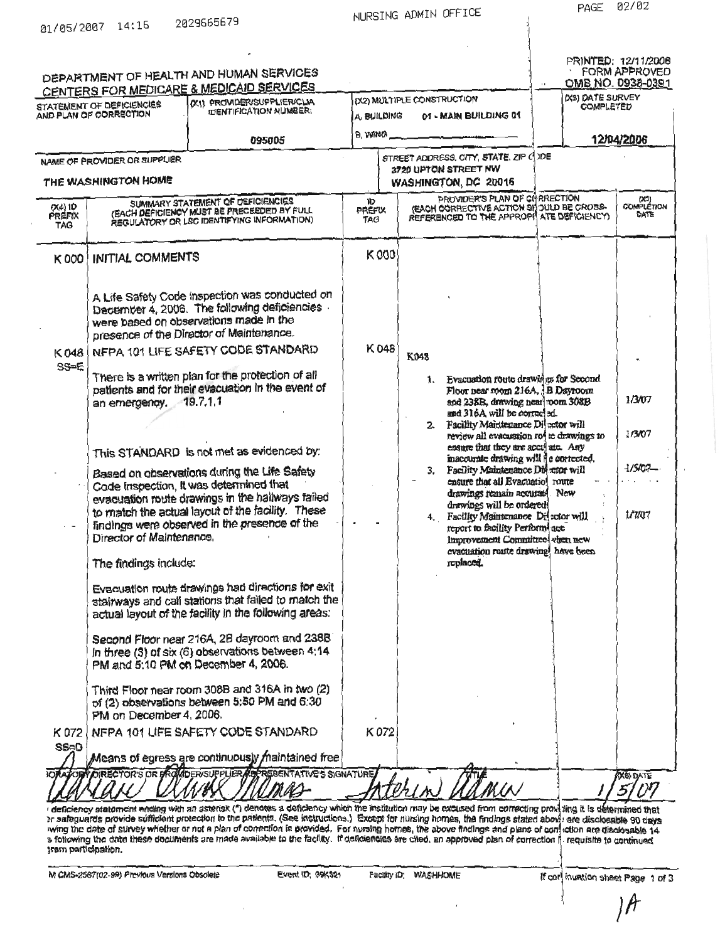| 01/05/2007 | 14:15 | 2029665679 |
|------------|-------|------------|
|            |       |            |

NURSING ADMIN OFFICE

| AND PLAN OF CORRECTION<br>NAME OF PROVIDER OR SUPPLIER<br>THE WASHINGTON HOME<br>INITIAL COMMENTS<br>were based on observations made in the | 095005<br>SUMMARY STATEMENT OF DEFICIENCIES<br>(EACH DEFICIENCY MUST BE PRECEEDED BY FULL<br>REGULATORY OR LSC IDENTIFYING INFORMATION)<br>A Life Safety Code inspection was conducted on<br>December 4, 2006. The following deficiencies | A. BUILDING<br>B. WING<br>۱D<br>PREFIX<br>TAG<br>K000                                                                                                                                                                                                                                                                                                                                                                                                                                                                                                                                                                                                                                                                                                                                                                                                                                                                                                                                                                                                                                                                                   |                                                                                                                                                                                                                                    | 01 - MAIN BUILDING 01<br>STREET ADDRESS, CITY, STATE, ZIP C DE<br>3720 UPTON STREET NW<br>WASHINGTON, DC 20016<br>PROVIDER'S PLAN OF CHRRECTION<br>(EACH CORRECTIVE ACTION 9H JULO BE CROSS-<br>REFERENCED TO THE APPROPH ATE DEFICIENCY) |                    | 12/04/2006<br>(X3)<br>COMPLETION<br>DATE                                                                                                                                                                                                                                                                                                                                                                                                                                                                                                                                                                                                                                                                                                    |
|---------------------------------------------------------------------------------------------------------------------------------------------|-------------------------------------------------------------------------------------------------------------------------------------------------------------------------------------------------------------------------------------------|-----------------------------------------------------------------------------------------------------------------------------------------------------------------------------------------------------------------------------------------------------------------------------------------------------------------------------------------------------------------------------------------------------------------------------------------------------------------------------------------------------------------------------------------------------------------------------------------------------------------------------------------------------------------------------------------------------------------------------------------------------------------------------------------------------------------------------------------------------------------------------------------------------------------------------------------------------------------------------------------------------------------------------------------------------------------------------------------------------------------------------------------|------------------------------------------------------------------------------------------------------------------------------------------------------------------------------------------------------------------------------------|-------------------------------------------------------------------------------------------------------------------------------------------------------------------------------------------------------------------------------------------|--------------------|---------------------------------------------------------------------------------------------------------------------------------------------------------------------------------------------------------------------------------------------------------------------------------------------------------------------------------------------------------------------------------------------------------------------------------------------------------------------------------------------------------------------------------------------------------------------------------------------------------------------------------------------------------------------------------------------------------------------------------------------|
|                                                                                                                                             |                                                                                                                                                                                                                                           |                                                                                                                                                                                                                                                                                                                                                                                                                                                                                                                                                                                                                                                                                                                                                                                                                                                                                                                                                                                                                                                                                                                                         |                                                                                                                                                                                                                                    |                                                                                                                                                                                                                                           |                    |                                                                                                                                                                                                                                                                                                                                                                                                                                                                                                                                                                                                                                                                                                                                             |
|                                                                                                                                             |                                                                                                                                                                                                                                           |                                                                                                                                                                                                                                                                                                                                                                                                                                                                                                                                                                                                                                                                                                                                                                                                                                                                                                                                                                                                                                                                                                                                         |                                                                                                                                                                                                                                    |                                                                                                                                                                                                                                           |                    |                                                                                                                                                                                                                                                                                                                                                                                                                                                                                                                                                                                                                                                                                                                                             |
|                                                                                                                                             |                                                                                                                                                                                                                                           |                                                                                                                                                                                                                                                                                                                                                                                                                                                                                                                                                                                                                                                                                                                                                                                                                                                                                                                                                                                                                                                                                                                                         |                                                                                                                                                                                                                                    |                                                                                                                                                                                                                                           |                    |                                                                                                                                                                                                                                                                                                                                                                                                                                                                                                                                                                                                                                                                                                                                             |
|                                                                                                                                             |                                                                                                                                                                                                                                           |                                                                                                                                                                                                                                                                                                                                                                                                                                                                                                                                                                                                                                                                                                                                                                                                                                                                                                                                                                                                                                                                                                                                         |                                                                                                                                                                                                                                    |                                                                                                                                                                                                                                           |                    |                                                                                                                                                                                                                                                                                                                                                                                                                                                                                                                                                                                                                                                                                                                                             |
|                                                                                                                                             |                                                                                                                                                                                                                                           |                                                                                                                                                                                                                                                                                                                                                                                                                                                                                                                                                                                                                                                                                                                                                                                                                                                                                                                                                                                                                                                                                                                                         |                                                                                                                                                                                                                                    |                                                                                                                                                                                                                                           |                    |                                                                                                                                                                                                                                                                                                                                                                                                                                                                                                                                                                                                                                                                                                                                             |
|                                                                                                                                             | presence of the Director of Maintenance.                                                                                                                                                                                                  |                                                                                                                                                                                                                                                                                                                                                                                                                                                                                                                                                                                                                                                                                                                                                                                                                                                                                                                                                                                                                                                                                                                                         |                                                                                                                                                                                                                                    |                                                                                                                                                                                                                                           |                    |                                                                                                                                                                                                                                                                                                                                                                                                                                                                                                                                                                                                                                                                                                                                             |
|                                                                                                                                             | NFPA 101 LIFE SAFETY CODE STANDARD                                                                                                                                                                                                        | K048                                                                                                                                                                                                                                                                                                                                                                                                                                                                                                                                                                                                                                                                                                                                                                                                                                                                                                                                                                                                                                                                                                                                    | K048                                                                                                                                                                                                                               |                                                                                                                                                                                                                                           |                    |                                                                                                                                                                                                                                                                                                                                                                                                                                                                                                                                                                                                                                                                                                                                             |
|                                                                                                                                             | There is a written plan for the protection of all                                                                                                                                                                                         |                                                                                                                                                                                                                                                                                                                                                                                                                                                                                                                                                                                                                                                                                                                                                                                                                                                                                                                                                                                                                                                                                                                                         |                                                                                                                                                                                                                                    | 1. Evacuation route drawings for Second                                                                                                                                                                                                   |                    | 1/3/07                                                                                                                                                                                                                                                                                                                                                                                                                                                                                                                                                                                                                                                                                                                                      |
|                                                                                                                                             |                                                                                                                                                                                                                                           |                                                                                                                                                                                                                                                                                                                                                                                                                                                                                                                                                                                                                                                                                                                                                                                                                                                                                                                                                                                                                                                                                                                                         |                                                                                                                                                                                                                                    |                                                                                                                                                                                                                                           |                    | 1/3/07                                                                                                                                                                                                                                                                                                                                                                                                                                                                                                                                                                                                                                                                                                                                      |
|                                                                                                                                             |                                                                                                                                                                                                                                           |                                                                                                                                                                                                                                                                                                                                                                                                                                                                                                                                                                                                                                                                                                                                                                                                                                                                                                                                                                                                                                                                                                                                         |                                                                                                                                                                                                                                    |                                                                                                                                                                                                                                           |                    | -1/5/07-                                                                                                                                                                                                                                                                                                                                                                                                                                                                                                                                                                                                                                                                                                                                    |
|                                                                                                                                             |                                                                                                                                                                                                                                           |                                                                                                                                                                                                                                                                                                                                                                                                                                                                                                                                                                                                                                                                                                                                                                                                                                                                                                                                                                                                                                                                                                                                         |                                                                                                                                                                                                                                    |                                                                                                                                                                                                                                           |                    | 1/7/07                                                                                                                                                                                                                                                                                                                                                                                                                                                                                                                                                                                                                                                                                                                                      |
|                                                                                                                                             |                                                                                                                                                                                                                                           |                                                                                                                                                                                                                                                                                                                                                                                                                                                                                                                                                                                                                                                                                                                                                                                                                                                                                                                                                                                                                                                                                                                                         |                                                                                                                                                                                                                                    | replaced.                                                                                                                                                                                                                                 |                    |                                                                                                                                                                                                                                                                                                                                                                                                                                                                                                                                                                                                                                                                                                                                             |
|                                                                                                                                             |                                                                                                                                                                                                                                           |                                                                                                                                                                                                                                                                                                                                                                                                                                                                                                                                                                                                                                                                                                                                                                                                                                                                                                                                                                                                                                                                                                                                         |                                                                                                                                                                                                                                    |                                                                                                                                                                                                                                           |                    |                                                                                                                                                                                                                                                                                                                                                                                                                                                                                                                                                                                                                                                                                                                                             |
|                                                                                                                                             |                                                                                                                                                                                                                                           |                                                                                                                                                                                                                                                                                                                                                                                                                                                                                                                                                                                                                                                                                                                                                                                                                                                                                                                                                                                                                                                                                                                                         |                                                                                                                                                                                                                                    |                                                                                                                                                                                                                                           |                    |                                                                                                                                                                                                                                                                                                                                                                                                                                                                                                                                                                                                                                                                                                                                             |
|                                                                                                                                             |                                                                                                                                                                                                                                           |                                                                                                                                                                                                                                                                                                                                                                                                                                                                                                                                                                                                                                                                                                                                                                                                                                                                                                                                                                                                                                                                                                                                         |                                                                                                                                                                                                                                    |                                                                                                                                                                                                                                           |                    |                                                                                                                                                                                                                                                                                                                                                                                                                                                                                                                                                                                                                                                                                                                                             |
|                                                                                                                                             |                                                                                                                                                                                                                                           |                                                                                                                                                                                                                                                                                                                                                                                                                                                                                                                                                                                                                                                                                                                                                                                                                                                                                                                                                                                                                                                                                                                                         |                                                                                                                                                                                                                                    |                                                                                                                                                                                                                                           |                    |                                                                                                                                                                                                                                                                                                                                                                                                                                                                                                                                                                                                                                                                                                                                             |
|                                                                                                                                             |                                                                                                                                                                                                                                           |                                                                                                                                                                                                                                                                                                                                                                                                                                                                                                                                                                                                                                                                                                                                                                                                                                                                                                                                                                                                                                                                                                                                         |                                                                                                                                                                                                                                    |                                                                                                                                                                                                                                           |                    |                                                                                                                                                                                                                                                                                                                                                                                                                                                                                                                                                                                                                                                                                                                                             |
|                                                                                                                                             |                                                                                                                                                                                                                                           |                                                                                                                                                                                                                                                                                                                                                                                                                                                                                                                                                                                                                                                                                                                                                                                                                                                                                                                                                                                                                                                                                                                                         |                                                                                                                                                                                                                                    |                                                                                                                                                                                                                                           |                    | <b>X6) DATE</b>                                                                                                                                                                                                                                                                                                                                                                                                                                                                                                                                                                                                                                                                                                                             |
|                                                                                                                                             | s following the date these documents are made available to the facility. If deficiencies are cited, an approved plan of correction if requisite to continued                                                                              | patients and for their evacuation in the event of<br>an emergency, 19.7.1.1<br>This STANDARD is not met as evidenced by:<br>Based on observations during the Life Safety<br>Code inspection, It was determined that<br>evacuation route drawings in the hallways failed<br>to match the actual layout of the facility. These<br>findings were observed in the presence of the<br>Director of Maintenance.<br>The findings include:<br>Evacuation route drawings had directions for exit<br>stairways and call stations that failed to match the<br>actual layout of the facility in the following areas:<br>Second Floor near 216A, 2B dayroom and 238B<br>In three (3) of six (6) observations between 4:14<br>PM and 5:10 PM on December 4, 2006.<br>Third Floor near room 308B and 316A in two (2)<br>of (2) observations between 5:50 PM and 6:30<br>PM on December 4, 2006.<br>NFPA 101 LIFE SAFETY CODE STANDARD<br>Means of egress are continuously maintained free<br>wing the date of survey whether or not a plan of correction is provided. For nursing homes, the above findings and plans of conjection are disclosable 14 | OFATORY OIRECTOR'S OR PROVIDER/SUPPLIER FOR SENTATIVE'S SIGNATURE<br>er safaquards provide sufficient protection to the patients. (See instructions.) Except for nursing homes, the findings stated abovit are disclosable 90 days | K072                                                                                                                                                                                                                                      | $\mathbf{2}$<br>3. | Floor near room 216A, B Dayroom<br>and 238B, drawing near voom 308B<br>and 316A will be corrected<br>Facility Maintenance Divertor will<br>review all evacuation ro <sup>4</sup> to drawings to<br>ensure that they are acculate. Any<br>inacourate drawing will i e corrected.<br>Facility Maintenance Divertor will<br>ensure that all Evacuatio' route<br>drawings remain accurated. New<br>drawings will be ordered.<br>4. Facillty Maintenance Dijector will<br>report to facility Perform, acc.<br>Improvement Committee when new<br>evacuation route drawing have been<br>deficiency statement ending with an asterisk (*) denotes a deficiency which the institution may be excused from correcting providing it is determined that |

M CMS-2567(02-99) Previous Versions Obsolete

Facility ID; WASHHOME

 $\lambda$ 

If cor inuntion sheet Page 1 of 3

 $\mathcal{A}$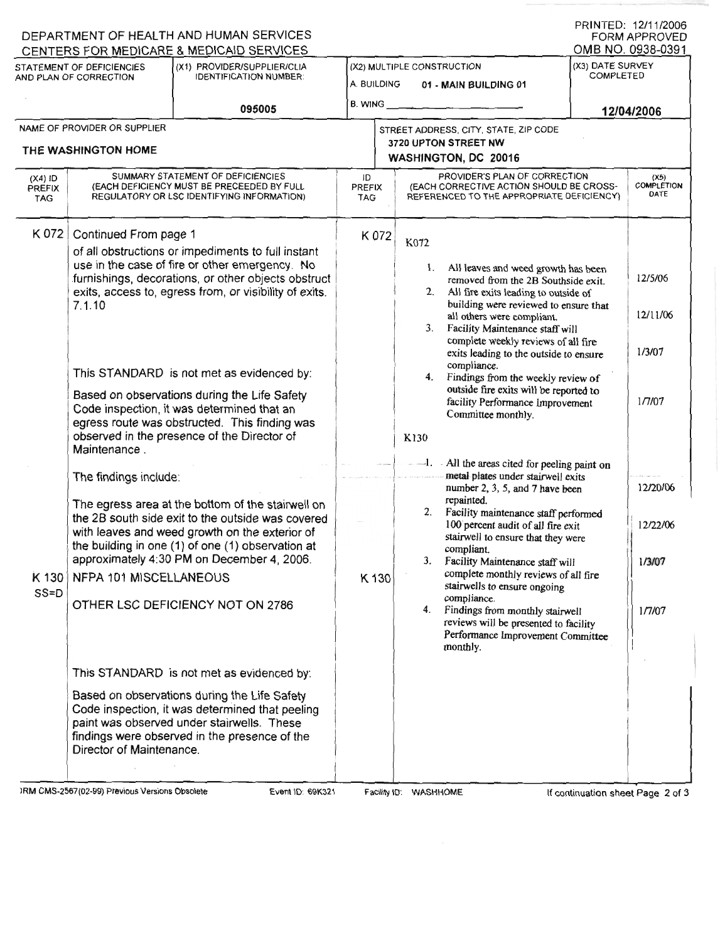| (X1) PROVIDER/SUPPLIER/CLIA<br>STATEMENT OF DEFICIENCIES<br><b>IDENTIFICATION NUMBER:</b><br>AND PLAN OF CORRECTION |                                                                                                                                                                                                                                                                                                                                                                                                                                                                                                                     | A. BUILDING                                                                                                                                                                                    | (X2) MULTIPLE CONSTRUCTION<br>01 - MAIN BUILDING 01 |                                                                                                                                                                                                                                                                                      | (X3) DATE SURVEY<br><b>COMPLETED</b> |                                   |
|---------------------------------------------------------------------------------------------------------------------|---------------------------------------------------------------------------------------------------------------------------------------------------------------------------------------------------------------------------------------------------------------------------------------------------------------------------------------------------------------------------------------------------------------------------------------------------------------------------------------------------------------------|------------------------------------------------------------------------------------------------------------------------------------------------------------------------------------------------|-----------------------------------------------------|--------------------------------------------------------------------------------------------------------------------------------------------------------------------------------------------------------------------------------------------------------------------------------------|--------------------------------------|-----------------------------------|
| 095005                                                                                                              |                                                                                                                                                                                                                                                                                                                                                                                                                                                                                                                     |                                                                                                                                                                                                |                                                     | $B.$ WING $\qquad \qquad$                                                                                                                                                                                                                                                            |                                      | 12/04/2006                        |
|                                                                                                                     | NAME OF PROVIDER OR SUPPLIER<br>THE WASHINGTON HOME                                                                                                                                                                                                                                                                                                                                                                                                                                                                 |                                                                                                                                                                                                |                                                     | STREET ADDRESS, CITY, STATE, ZIP CODE<br>3720 UPTON STREET NW<br>WASHINGTON, DC 20016                                                                                                                                                                                                |                                      |                                   |
| $(X4)$ ID<br><b>PREFIX</b><br><b>TAG</b>                                                                            |                                                                                                                                                                                                                                                                                                                                                                                                                                                                                                                     | SUMMARY STATEMENT OF DEFICIENCIES<br>(EACH DEFICIENCY MUST BE PRECEEDED BY FULL<br>REGULATORY OR LSC IDENTIFYING INFORMATION)                                                                  | ID<br><b>PREFIX</b><br><b>TAG</b>                   | PROVIDER'S PLAN OF CORRECTION<br>(EACH CORRECTIVE ACTION SHOULD BE CROSS-<br>REFERENCED TO THE APPROPRIATE DEFICIENCY)                                                                                                                                                               |                                      | (X5)<br><b>COMPLETION</b><br>DATE |
| K 072<br>K 130<br>$SS = D$                                                                                          | Continued From page 1<br>of all obstructions or impediments to full instant<br>use in the case of fire or other emergency. No<br>furnishings, decorations, or other objects obstruct<br>exits, access to, egress from, or visibility of exits.<br>7.1.10<br>This STANDARD is not met as evidenced by:<br>Based on observations during the Life Safety<br>Code inspection, it was determined that an<br>egress route was obstructed. This finding was<br>observed in the presence of the Director of<br>Maintenance. |                                                                                                                                                                                                | K 072                                               | K072<br>1. All leaves and weed growth has been<br>removed from the 2B Southside exit.<br>2. All fire exits leading to outside of<br>building were reviewed to ensure that<br>all others were compliant.<br>3. Facility Maintenance staff will<br>complete weekly reviews of all fire |                                      | 12/5/06<br>12/11/06               |
|                                                                                                                     |                                                                                                                                                                                                                                                                                                                                                                                                                                                                                                                     |                                                                                                                                                                                                |                                                     | exits leading to the outside to ensure<br>compliance.<br>4. Findings from the weekly review of<br>outside fire exits will be reported to<br>facility Performance Improvement<br>Committee monthly.<br>K130                                                                           |                                      | 1/3/07<br>1/7/07                  |
|                                                                                                                     | The findings include:                                                                                                                                                                                                                                                                                                                                                                                                                                                                                               | The egress area at the bottom of the stairwell on                                                                                                                                              |                                                     | -1. All the areas cited for peeling paint on<br>metal plates under stairwell exits<br>number 2, 3, 5, and 7 have been<br>repainted.                                                                                                                                                  |                                      | 12/20/06                          |
|                                                                                                                     |                                                                                                                                                                                                                                                                                                                                                                                                                                                                                                                     | the 2B south side exit to the outside was covered<br>with leaves and weed growth on the exterior of<br>the building in one (1) of one (1) observation at                                       |                                                     | 2. Facility maintenance staff performed<br>100 percent audit of all fire exit<br>stairwell to ensure that they were<br>compliant.                                                                                                                                                    |                                      | 12/22/06                          |
|                                                                                                                     | NFPA 101 MISCELLANEOUS                                                                                                                                                                                                                                                                                                                                                                                                                                                                                              | approximately 4:30 PM on December 4, 2006.                                                                                                                                                     |                                                     | 3. Facility Maintenance staff will<br>complete monthly reviews of all fire<br>K 130<br>stairwells to ensure ongoing                                                                                                                                                                  |                                      | 1/3/07                            |
|                                                                                                                     |                                                                                                                                                                                                                                                                                                                                                                                                                                                                                                                     | OTHER LSC DEFICIENCY NOT ON 2786                                                                                                                                                               |                                                     | compliance.<br>4. Findings from monthly stairwell<br>reviews will be presented to facility<br>Performance Improvement Committee<br>monthly.                                                                                                                                          |                                      | 1/7/07                            |
|                                                                                                                     |                                                                                                                                                                                                                                                                                                                                                                                                                                                                                                                     | This STANDARD is not met as evidenced by:                                                                                                                                                      |                                                     |                                                                                                                                                                                                                                                                                      |                                      |                                   |
|                                                                                                                     | Director of Maintenance.                                                                                                                                                                                                                                                                                                                                                                                                                                                                                            | Based on observations during the Life Safety<br>Code inspection, it was determined that peeling<br>paint was observed under stairwells. These<br>findings were observed in the presence of the |                                                     |                                                                                                                                                                                                                                                                                      |                                      |                                   |